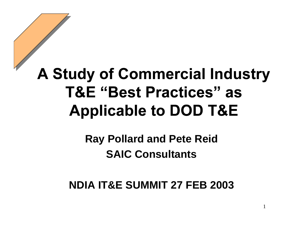### **A Study of Commercial Industry T&E "Best Practices" as Applicable to DOD T&E**

#### **Ray Pollard and Pete Reid SAIC Consultants**

#### **NDIA IT&E SUMMIT 27 FEB 2003**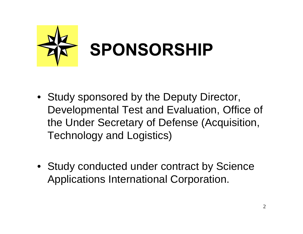

- Study sponsored by the Deputy Director, Developmental Test and Evaluation, Office of the Under Secretary of Defense (Acquisition, Technology and Logistics)
- Study conducted under contract by Science Applications International Corporation.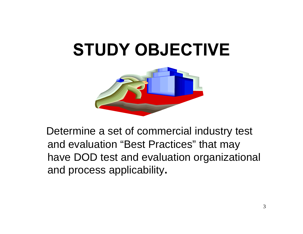### **STUDY OBJECTIVE**



 Determine a set of commercial industry test and evaluation "Best Practices" that may have DOD test and evaluation organizational and process applicability**.**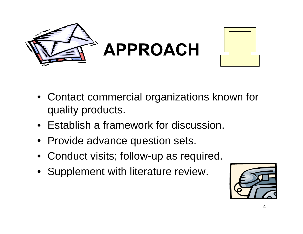



- Contact commercial organizations known for quality products.
- Establish a framework for discussion.
- Provide advance question sets.
- Conduct visits; follow-up as required.
- Supplement with literature review.

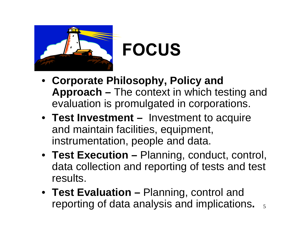

### **FOCUS**

- **Corporate Philosophy, Policy and Approach –** The context in which testing and evaluation is promulgated in corporations.
- **Test Investment** Investment to acquire and maintain facilities, equipment, instrumentation, people and data.
- **Test Execution** Planning, conduct, control, data collection and reporting of tests and test results.
- reporting of data analysis and implications.  $\frac{1}{5}$ • **Test Evaluation –** Planning, control and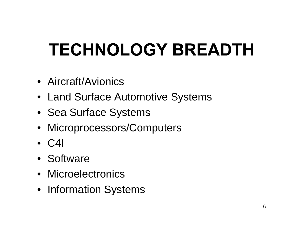# **TECHNOLOGY BREADTH**

- Aircraft/Avionics
- Land Surface Automotive Systems
- Sea Surface Systems
- Microprocessors/Computers
- C4I
- Software
- Microelectronics
- Information Systems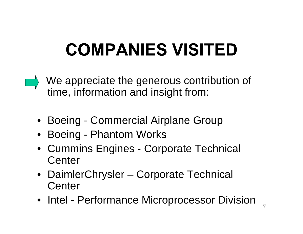# **COMPANIES VISITED**

- We appreciate the generous contribution of time, information and insight from:
	- Boeing Commercial Airplane Group
	- Boeing Phantom Works
	- Cummins Engines Corporate Technical **Center**
	- DaimlerChrysler Corporate Technical **Center**
	- Intel Performance Microprocessor Division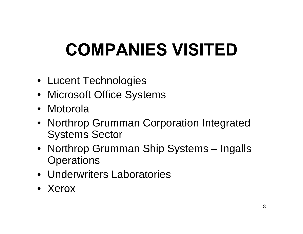# **COMPANIES VISITED**

- Lucent Technologies
- Microsoft Office Systems
- Motorola
- Northrop Grumman Corporation Integrated Systems Sector
- Northrop Grumman Ship Systems Ingalls **Operations**
- Underwriters Laboratories
- Xerox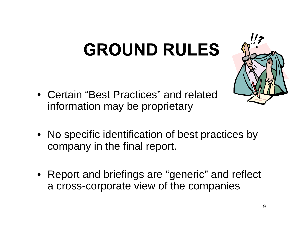# **GROUND RULES**

- Certain "Best Practices" and related information may be proprietary
- No specific identification of best practices by company in the final report.
- Report and briefings are "generic" and reflect a cross-corporate view of the companies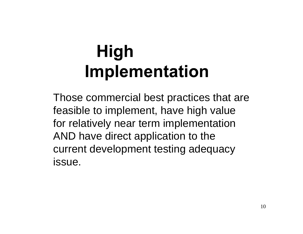Those commercial best practices that are feasible to implement, have high value for relatively near term implementation AND have direct application to the current development testing adequacy issue.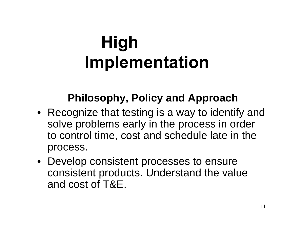#### **Philosophy, Policy and Approach**

- Recognize that testing is a way to identify and solve problems early in the process in order to control time, cost and schedule late in the process.
- Develop consistent processes to ensure consistent products. Understand the value and cost of T&E.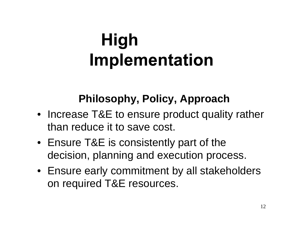#### **Philosophy, Policy, Approach**

- Increase T&E to ensure product quality rather than reduce it to save cost.
- Ensure T&E is consistently part of the decision, planning and execution process.
- Ensure early commitment by all stakeholders on required T&E resources.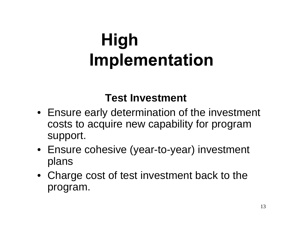#### **Test Investment**

- Ensure early determination of the investment costs to acquire new capability for program support.
- Ensure cohesive (year-to-year) investment plans
- Charge cost of test investment back to the program.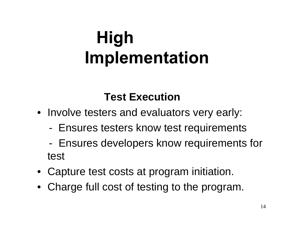- Involve testers and evaluators very early:
	- Ensures testers know test requirements
	- Ensures developers know requirements for test
- Capture test costs at program initiation.
- Charge full cost of testing to the program.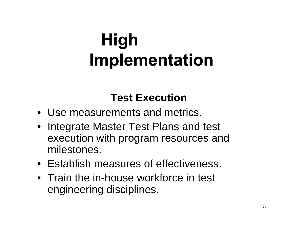- Use measurements and metrics.
- Integrate Master Test Plans and test execution with program resources and milestones.
- Establish measures of effectiveness.
- Train the in-house workforce in test engineering disciplines.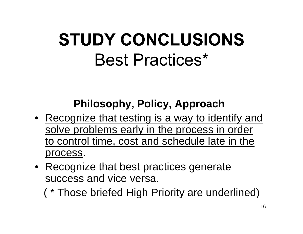#### **Philosophy, Policy, Approach**

- Recognize that testing is a way to identify and solve problems early in the process in order to control time, cost and schedule late in the process.
- Recognize that best practices generate success and vice versa.

( \* Those briefed High Priority are underlined)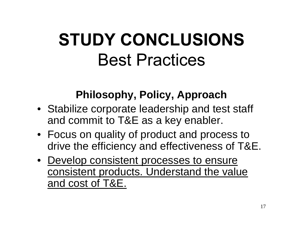#### **Philosophy, Policy, Approach**

- Stabilize corporate leadership and test staff and commit to T&E as a key enabler.
- Focus on quality of product and process to drive the efficiency and effectiveness of T&E.
- Develop consistent processes to ensure consistent products. Understand the value and cost of T&E.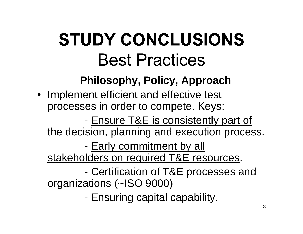#### **Philosophy, Policy, Approach**

• Implement efficient and effective test processes in order to compete. Keys:

- Ensure T&E is consistently part of

the decision, planning and execution process.

- Early commitment by all

stakeholders on required T&E resources.

 - Certification of T&E processes and organizations (~ISO 9000)

- Ensuring capital capability.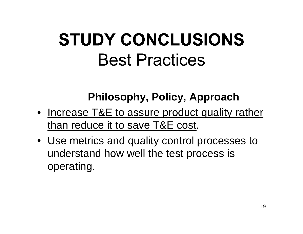#### **Philosophy, Policy, Approach**

- Increase T&E to assure product quality rather than reduce it to save T&E cost.
- Use metrics and quality control processes to understand how well the test process is operating.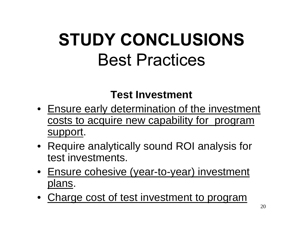#### **Test Investment**

- Ensure early determination of the investment costs to acquire new capability for program support.
- Require analytically sound ROI analysis for test investments.
- Ensure cohesive (year-to-year) investment plans.
- Charge cost of test investment to program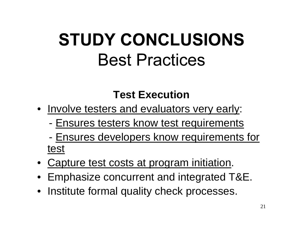- Involve testers and evaluators very early:
	- Ensures testers know test requirements
	- Ensures developers know requirements for test
- Capture test costs at program initiation.
- Emphasize concurrent and integrated T&E.
- Institute formal quality check processes.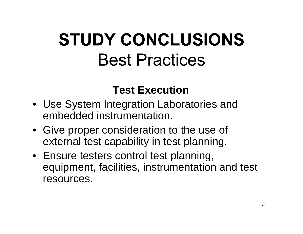- Use System Integration Laboratories and embedded instrumentation.
- Give proper consideration to the use of external test capability in test planning.
- Ensure testers control test planning, equipment, facilities, instrumentation and test resources.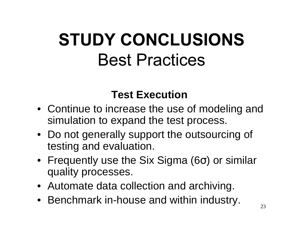- Continue to increase the use of modeling and simulation to expand the test process.
- Do not generally support the outsourcing of testing and evaluation.
- Frequently use the Six Sigma (6σ) or similar quality processes.
- Automate data collection and archiving.
- Benchmark in-house and within industry.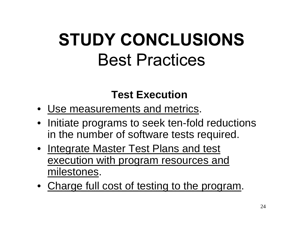- Use measurements and metrics.
- Initiate programs to seek ten-fold reductions in the number of software tests required.
- Integrate Master Test Plans and test execution with program resources and milestones.
- Charge full cost of testing to the program.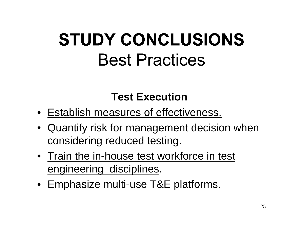- Establish measures of effectiveness.
- Quantify risk for management decision when considering reduced testing.
- Train the in-house test workforce in test engineering disciplines.
- Emphasize multi-use T&E platforms.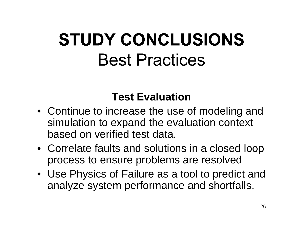#### **Test Evaluation**

- Continue to increase the use of modeling and simulation to expand the evaluation context based on verified test data.
- Correlate faults and solutions in a closed loop process to ensure problems are resolved
- Use Physics of Failure as a tool to predict and analyze system performance and shortfalls.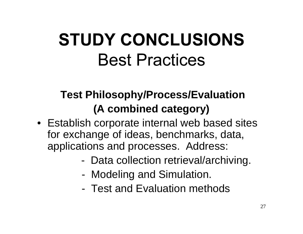#### **Test Philosophy/Process/Evaluation (A combined category)**

- Establish corporate internal web based sites for exchange of ideas, benchmarks, data, applications and processes. Address:
	- Data collection retrieval/archiving.
	- Modeling and Simulation.
	- Test and Evaluation methods